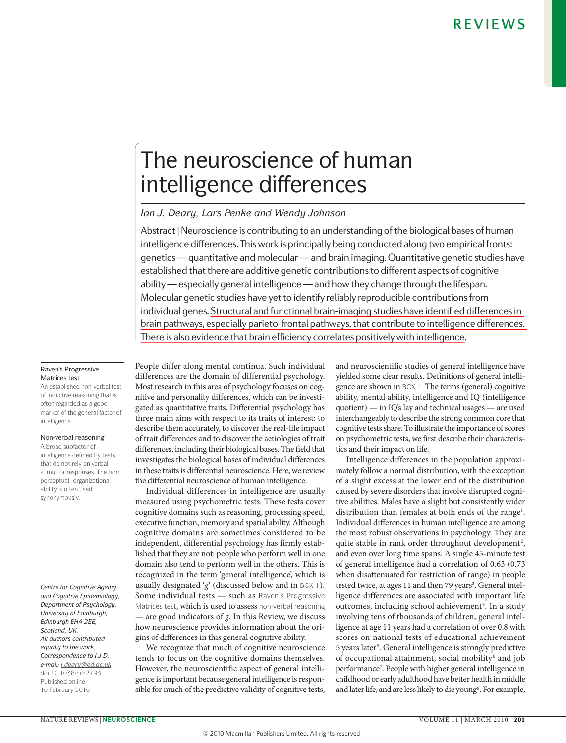# The neuroscience of human intelligence differences

# *Ian J. Deary, Lars Penke and Wendy Johnson*

Abstract | Neuroscience is contributing to an understanding of the biological bases of human intelligence differences. This work is principally being conducted along two empirical fronts: genetics — quantitative and molecular — and brain imaging. Quantitative genetic studies have established that there are additive genetic contributions to different aspects of cognitive ability — especially general intelligence — and how they change through the lifespan. Molecular genetic studies have yet to identify reliably reproducible contributions from individual genes. Structural and functional brain-imaging studies have identified differences in brain pathways, especially parieto-frontal pathways, that contribute to intelligence differences. There is also evidence that brain efficiency correlates positively with intelligence.

#### Raven's Progressive Matrices test

An established non-verbal test of inductive reasoning that is often regarded as a good marker of the general factor of intelligence.

# Non-verbal reasoning

A broad subfactor of intelligence defined by tests that do not rely on verbal stimuli or responses. The term perceptual–organizational ability is often used synonymously.

*Centre for Cognitive Ageing and Cognitive Epidemiology, Department of Psychology, University of Edinburgh, Edinburgh EH4 2EE, Scotland, UK. All authors contributed equally to the work. Correspondence to I.J.D. e-mail: [i.deary@ed.ac.uk](mailto:i.deary@ed.ac.uk)* doi:10.1038/nrn2793 Published online 10 February 2010

People differ along mental continua. Such individual differences are the domain of differential psychology. Most research in this area of psychology focuses on cognitive and personality differences, which can be investigated as quantitative traits. Differential psychology has three main aims with respect to its traits of interest: to describe them accurately, to discover the real-life impact of trait differences and to discover the aetiologies of trait differences, including their biological bases. The field that investigates the biological bases of individual differences in these traits is differential neuroscience. Here, we review the differential neuroscience of human intelligence.

Individual differences in intelligence are usually measured using psychometric tests. These tests cover cognitive domains such as reasoning, processing speed, executive function, memory and spatial ability. Although cognitive domains are sometimes considered to be independent, differential psychology has firmly established that they are not: people who perform well in one domain also tend to perform well in the others. This is recognized in the term 'general intelligence', which is usually designated 'g' (discussed below and in BOX 1). Some individual tests — such as Raven's Progressive Matrices test, which is used to assess non-verbal reasoning — are good indicators of *g*. In this Review, we discuss how neuroscience provides information about the origins of differences in this general cognitive ability.

We recognize that much of cognitive neuroscience tends to focus on the cognitive domains themselves. However, the neuroscientific aspect of general intelligence is important because general intelligence is responsible for much of the predictive validity of cognitive tests,

and neuroscientific studies of general intelligence have yielded some clear results. Definitions of general intelligence are shown in BOX 1. The terms (general) cognitive ability, mental ability, intelligence and IQ (intelligence quotient) — in IQ's lay and technical usages — are used interchangeably to describe the strong common core that cognitive tests share. To illustrate the importance of scores on psychometric tests, we first describe their characteristics and their impact on life.

Intelligence differences in the population approximately follow a normal distribution, with the exception of a slight excess at the lower end of the distribution caused by severe disorders that involve disrupted cognitive abilities. Males have a slight but consistently wider distribution than females at both ends of the range<sup>1</sup>. Individual differences in human intelligence are among the most robust observations in psychology. They are quite stable in rank order throughout development<sup>2</sup>, and even over long time spans. A single 45-minute test of general intelligence had a correlation of 0.63 (0.73 when disattenuated for restriction of range) in people tested twice, at ages 11 and then 79 years<sup>3</sup>. General intelligence differences are associated with important life outcomes, including school achievement<sup>4</sup>. In a study involving tens of thousands of children, general intelligence at age 11 years had a correlation of over 0.8 with scores on national tests of educational achievement 5 years later<sup>5</sup>. General intelligence is strongly predictive of occupational attainment, social mobility<sup>6</sup> and job performance7 . People with higher general intelligence in childhood or early adulthood have better health in middle and later life, and are less likely to die young<sup>8</sup>. For example,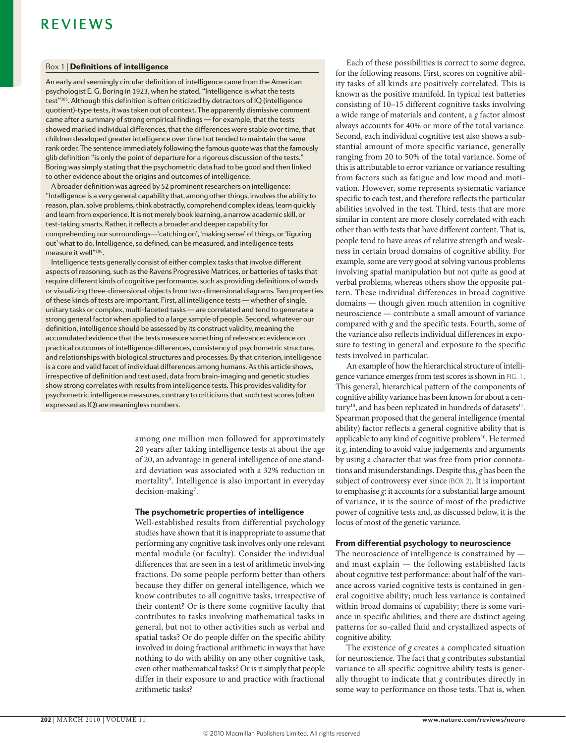# Box 1 | Definitions of intelligence

An early and seemingly circular definition of intelligence came from the American psychologist E. G. Boring in 1923, when he stated, "Intelligence is what the tests test"105. Although this definition is often criticized by detractors of IQ (intelligence quotient)‑type tests, it was taken out of context. The apparently dismissive comment came after a summary of strong empirical findings — for example, that the tests showed marked individual differences, that the differences were stable over time, that children developed greater intelligence over time but tended to maintain the same rank order. The sentence immediately following the famous quote was that the famously glib definition "is only the point of departure for a rigorous discussion of the tests." Boring was simply stating that the psychometric data had to be good and then linked to other evidence about the origins and outcomes of intelligence.

A broader definition was agreed by 52 prominent researchers on intelligence: "Intelligence is a very general capability that, among other things, involves the ability to reason, plan, solve problems, think abstractly, comprehend complex ideas, learn quickly and learn from experience. It is not merely book learning, a narrow academic skill, or test-taking smarts. Rather, it reflects a broader and deeper capability for comprehending our surroundings—'catching on', 'making sense' of things, or 'figuring out' what to do. Intelligence, so defined, can be measured, and intelligence tests measure it well"<sup>106</sup>.

Intelligence tests generally consist of either complex tasks that involve different aspects of reasoning, such as the Ravens Progressive Matrices, or batteries of tasks that require different kinds of cognitive performance, such as providing definitions of words or visualizing three-dimensional objects from two-dimensional diagrams. Two properties of these kinds of tests are important. First, all intelligence tests — whether of single, unitary tasks or complex, multi-faceted tasks - are correlated and tend to generate a strong general factor when applied to a large sample of people. Second, whatever our definition, intelligence should be assessed by its construct validity, meaning the accumulated evidence that the tests measure something of relevance: evidence on practical outcomes of intelligence differences, consistency of psychometric structure, and relationships with biological structures and processes. By that criterion, intelligence is a core and valid facet of individual differences among humans. As this article shows, irrespective of definition and test used, data from brain-imaging and genetic studies show strong correlates with results from intelligence tests. This provides validity for psychometric intelligence measures, contrary to criticisms that such test scores (often expressed as IQ) are meaningless numbers.

> among one million men followed for approximately 20 years after taking intelligence tests at about the age of 20, an advantage in general intelligence of one standard deviation was associated with a 32% reduction in mortality9 . Intelligence is also important in everyday decision-making<sup>7</sup>.

## The psychometric properties of intelligence

Well-established results from differential psychology studies have shown that it is inappropriate to assume that performing any cognitive task involves only one relevant mental module (or faculty). Consider the individual differences that are seen in a test of arithmetic involving fractions. Do some people perform better than others because they differ on general intelligence, which we know contributes to all cognitive tasks, irrespective of their content? or is there some cognitive faculty that contributes to tasks involving mathematical tasks in general, but not to other activities such as verbal and spatial tasks? or do people differ on the specific ability involved in doing fractional arithmetic in ways that have nothing to do with ability on any other cognitive task, even other mathematical tasks? Or is it simply that people differ in their exposure to and practice with fractional arithmetic tasks?

Each of these possibilities is correct to some degree, for the following reasons. First, scores on cognitive ability tasks of all kinds are positively correlated. This is known as the positive manifold. In typical test batteries consisting of 10–15 different cognitive tasks involving a wide range of materials and content, a *g* factor almost always accounts for 40% or more of the total variance. Second, each individual cognitive test also shows a substantial amount of more specific variance, generally ranging from 20 to 50% of the total variance. Some of this is attributable to error variance or variance resulting from factors such as fatigue and low mood and motivation. However, some represents systematic variance specific to each test, and therefore reflects the particular abilities involved in the test. Third, tests that are more similar in content are more closely correlated with each other than with tests that have different content. That is, people tend to have areas of relative strength and weakness in certain broad domains of cognitive ability. For example, some are very good at solving various problems involving spatial manipulation but not quite as good at verbal problems, whereas others show the opposite pattern. These individual differences in broad cognitive domains — though given much attention in cognitive neuroscience — contribute a small amount of variance compared with *g* and the specific tests. Fourth, some of the variance also reflects individual differences in exposure to testing in general and exposure to the specific tests involved in particular.

An example of how the hierarchical structure of intelligence variance emerges from test scores is shown in FIG. 1. This general, hierarchical pattern of the components of cognitive ability variance has been known for about a century<sup>10</sup>, and has been replicated in hundreds of datasets<sup>11</sup>. Spearman proposed that the general intelligence (mental ability) factor reflects a general cognitive ability that is applicable to any kind of cognitive problem<sup>10</sup>. He termed it *g*, intending to avoid value judgements and arguments by using a character that was free from prior connotations and misunderstandings. Despite this, *g* has been the subject of controversy ever since (BOX 2). It is important to emphasise *g*: it accounts for a substantial large amount of variance, it is the source of most of the predictive power of cognitive tests and, as discussed below, it is the locus of most of the genetic variance.

# From differential psychology to neuroscience

The neuroscience of intelligence is constrained by and must explain — the following established facts about cognitive test performance: about half of the variance across varied cognitive tests is contained in general cognitive ability; much less variance is contained within broad domains of capability; there is some variance in specific abilities; and there are distinct ageing patterns for so-called fluid and crystallized aspects of cognitive ability.

The existence of *g* creates a complicated situation for neuroscience. The fact that *g* contributes substantial variance to all specific cognitive ability tests is generally thought to indicate that *g* contributes directly in some way to performance on those tests. That is, when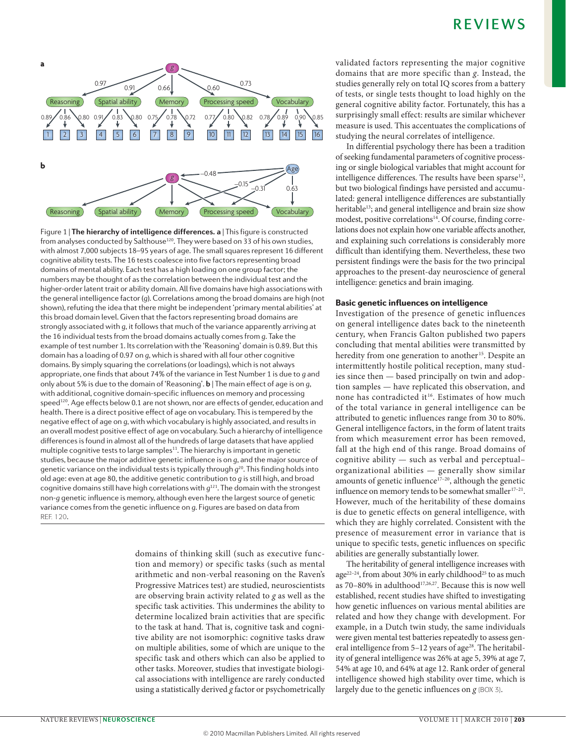

from analyses conducted by Salthouse<sup>120</sup>. They were based on 33 of his own studies, Figure 1 | **The hierarchy of intelligence differences. a** | This figure is constructed with almost 7,000 subjects 18–95 years of age. The small squares represent 16 different cognitive ability tests. The 16 tests coalesce into five factors representing broad domains of mental ability. Each test has a high loading on one group factor; the numbers may be thought of as the correlation between the individual test and the higher-order latent trait or ability domain. All five domains have high associations with the general intelligence factor (*g*). Correlations among the broad domains are high (not shown), refuting the idea that there might be independent 'primary mental abilities' at this broad domain level. Given that the factors representing broad domains are strongly associated with *g*, it follows that much of the variance apparently arriving at the 16 individual tests from the broad domains actually comes from *g*. Take the example of test number 1. Its correlation with the 'Reasoning' domain is 0.89. But this domain has a loading of 0.97 on *g*, which is shared with all four other cognitive domains. By simply squaring the correlations (or loadings), which is not always appropriate, one finds that about 74% of the variance in Test Number 1 is due to *g* and only about 5% is due to the domain of 'Reasoning'. **b** | The main effect of age is on *g*, with additional, cognitive domain-specific influences on memory and processing speed<sup>120</sup>. Age effects below 0.1 are not shown, nor are effects of gender, education and health. There is a direct positive effect of age on vocabulary. This is tempered by the negative effect of age on *g*, with which vocabulary is highly associated, and results in an overall modest positive effect of age on vocabulary. Such a hierarchy of intelligence differences is found in almost all of the hundreds of large datasets that have applied multiple cognitive tests to large samples $11$ . The hierarchy is important in genetic studies, because the major additive genetic influence is on *g*, and the major source of genetic variance on the individual tests is typically through *g*20. This finding holds into old age: even at age 80, the additive genetic contribution to *g* is still high, and broad cognitive domains still have high correlations with *g*121. The domain with the strongest non-*g* genetic influence is memory, although even here the largest source of genetic variance comes from the genetic influence on *g*. Figures are based on data from REF. 120.

> domains of thinking skill (such as executive function and memory) or specific tasks (such as mental arithmetic and non-verbal reasoning on the Raven's Progressive Matrices test) are studied, neuroscientists are observing brain activity related to *g* as well as the specific task activities. This undermines the ability to determine localized brain activities that are specific to the task at hand. That is, cognitive task and cognitive ability are not isomorphic: cognitive tasks draw on multiple abilities, some of which are unique to the specific task and others which can also be applied to other tasks. Moreover, studies that investigate biological associations with intelligence are rarely conducted using a statistically derived *g* factor or psychometrically

validated factors representing the major cognitive domains that are more specific than *g*. Instead, the studies generally rely on total IQ scores from a battery of tests, or single tests thought to load highly on the general cognitive ability factor. Fortunately, this has a surprisingly small effect: results are similar whichever measure is used. This accentuates the complications of studying the neural correlates of intelligence.

In differential psychology there has been a tradition of seeking fundamental parameters of cognitive processing or single biological variables that might account for intelligence differences. The results have been sparse<sup>12</sup>, but two biological findings have persisted and accumulated: general intelligence differences are substantially heritable<sup>13</sup>; and general intelligence and brain size show modest, positive correlations<sup>14</sup>. Of course, finding correlations does not explain how one variable affects another, and explaining such correlations is considerably more difficult than identifying them. Nevertheless, these two persistent findings were the basis for the two principal approaches to the present-day neuroscience of general intelligence: genetics and brain imaging.

## Basic genetic influences on intelligence

Investigation of the presence of genetic influences on general intelligence dates back to the nineteenth century, when Francis Galton published two papers concluding that mental abilities were transmitted by heredity from one generation to another<sup>15</sup>. Despite an intermittently hostile political reception, many studies since then — based principally on twin and adoption samples — have replicated this observation, and none has contradicted it<sup>16</sup>. Estimates of how much of the total variance in general intelligence can be attributed to genetic influences range from 30 to 80%. General intelligence factors, in the form of latent traits from which measurement error has been removed, fall at the high end of this range. Broad domains of cognitive ability — such as verbal and perceptual– organizational abilities — generally show similar amounts of genetic influence<sup>17-20</sup>, although the genetic influence on memory tends to be somewhat smaller<sup>17-21</sup>. However, much of the heritability of these domains is due to genetic effects on general intelligence, with which they are highly correlated. Consistent with the presence of measurement error in variance that is unique to specific tests, genetic influences on specific abilities are generally substantially lower.

The heritability of general intelligence increases with age<sup>22-24</sup>, from about 30% in early childhood<sup>25</sup> to as much as 70–80% in adulthood<sup>17,26,27</sup>. Because this is now well established, recent studies have shifted to investigating how genetic influences on various mental abilities are related and how they change with development. For example, in a Dutch twin study, the same individuals were given mental test batteries repeatedly to assess general intelligence from 5-12 years of age<sup>28</sup>. The heritability of general intelligence was 26% at age 5, 39% at age 7, 54% at age 10, and 64% at age 12. Rank order of general intelligence showed high stability over time, which is largely due to the genetic influences on *g* (BOX 3).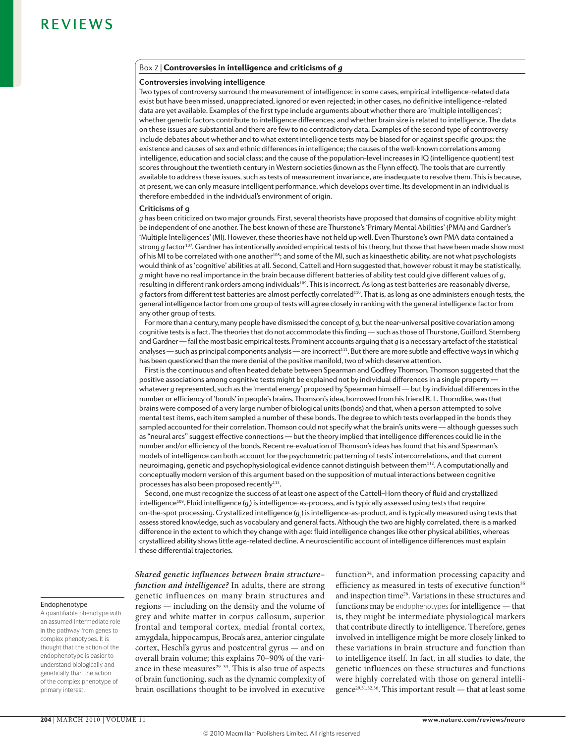### Box 2 | Controversies in intelligence and criticisms of *g*

#### **controversies involving intelligence**

Two types of controversy surround the measurement of intelligence: in some cases, empirical intelligence-related data exist but have been missed, unappreciated, ignored or even rejected; in other cases, no definitive intelligence-related data are yet available. Examples of the first type include arguments about whether there are 'multiple intelligences'; whether genetic factors contribute to intelligence differences; and whether brain size is related to intelligence. The data on these issues are substantial and there are few to no contradictory data. Examples of the second type of controversy include debates about whether and to what extent intelligence tests may be biased for or against specific groups; the existence and causes of sex and ethnic differences in intelligence; the causes of the well-known correlations among intelligence, education and social class; and the cause of the population-level increases in IQ (intelligence quotient) test scores throughout the twentieth century in Western societies (known as the Flynn effect). The tools that are currently available to address these issues, such as tests of measurement invariance, are inadequate to resolve them. This is because, at present, we can only measure intelligent performance, which develops over time. Its development in an individual is therefore embedded in the individual's environment of origin.

#### **criticisms of g**

*g* has been criticized on two major grounds. First, several theorists have proposed that domains of cognitive ability might be independent of one another. The best known of these are Thurstone's 'Primary Mental Abilities' (PMA) and Gardner's 'Multiple Intelligences' (MI). However, these theories have not held up well. Even Thurstone's own PMA data contained a strong *g* factor<sup>107</sup>. Gardner has intentionally avoided empirical tests of his theory, but those that have been made show most of his MI to be correlated with one another<sup>108</sup>; and some of the MI, such as kinaesthetic ability, are not what psychologists would think of as 'cognitive' abilities at all. Second, Cattell and Horn suggested that, however robust it may be statistically, *g* might have no real importance in the brain because different batteries of ability test could give different values of *g*, resulting in different rank orders among individuals<sup>109</sup>. This is incorrect. As long as test batteries are reasonably diverse, g factors from different test batteries are almost perfectly correlated<sup>110</sup>. That is, as long as one administers enough tests, the general intelligence factor from one group of tests will agree closely in ranking with the general intelligence factor from any other group of tests.

For more than a century, many people have dismissed the concept of *g*, but the near‑universal positive covariation among cognitive tests is a fact. The theories that do not accommodate this finding — such as those of Thurstone, Guilford, Sternberg and Gardner — fail the most basic empirical tests. Prominent accounts arguing that *g* is a necessary artefact of the statistical analyses — such as principal components analysis — are incorrect<sup>111</sup>. But there are more subtle and effective ways in which  $q$ has been questioned than the mere denial of the positive manifold, two of which deserve attention.

First is the continuous and often heated debate between Spearman and Godfrey Thomson. Thomson suggested that the positive associations among cognitive tests might be explained not by individual differences in a single property whatever *g* represented, such as the 'mental energy' proposed by Spearman himself — but by individual differences in the number or efficiency of 'bonds' in people's brains. Thomson's idea, borrowed from his friend R. L. Thorndike, was that brains were composed of a very large number of biological units (bonds) and that, when a person attempted to solve mental test items, each item sampled a number of these bonds. The degree to which tests overlapped in the bonds they sampled accounted for their correlation. Thomson could not specify what the brain's units were — although guesses such as "neural arcs" suggest effective connections — but the theory implied that intelligence differences could lie in the number and/or efficiency of the bonds. Recent re‑evaluation of Thomson's ideas has found that his and Spearman's models of intelligence can both account for the psychometric patterning of tests' intercorrelations, and that current neuroimaging, genetic and psychophysiological evidence cannot distinguish between them<sup>112</sup>. A computationally and conceptually modern version of this argument based on the supposition of mutual interactions between cognitive processes has also been proposed recently<sup>113</sup>.

Second, one must recognize the success of at least one aspect of the Cattell–Horn theory of fluid and crystallized intelligence<sup>109</sup>. Fluid intelligence ( $g_{\r{\scriptscriptstyle\beta}}$  is intelligence-as-process, and is typically assessed using tests that require on-the-spot processing. Crystallized intelligence (g<sub>c</sub>) is intelligence-as-product, and is typically measured using tests that assess stored knowledge, such as vocabulary and general facts. Although the two are highly correlated, there is a marked difference in the extent to which they change with age: fluid intelligence changes like other physical abilities, whereas crystallized ability shows little age-related decline. A neuroscientific account of intelligence differences must explain these differential trajectories.

#### Endophenotype

A quantifiable phenotype with an assumed intermediate role in the pathway from genes to complex phenotypes. It is thought that the action of the endophenotype is easier to understand biologically and genetically than the action of the complex phenotype of primary interest.

*Shared genetic influences between brain structure– function and intelligence?* In adults, there are strong genetic influences on many brain structures and regions — including on the density and the volume of grey and white matter in corpus callosum, superior frontal and temporal cortex, medial frontal cortex, amygdala, hippocampus, Broca's area, anterior cingulate cortex, Heschl's gyrus and postcentral gyrus — and on overall brain volume; this explains 70–90% of the variance in these measures $29-33$ . This is also true of aspects of brain functioning, such as the dynamic complexity of brain oscillations thought to be involved in executive function<sup>34</sup>, and information processing capacity and efficiency as measured in tests of executive function<sup>35</sup> and inspection time26. variations in these structures and functions may be endophenotypes for intelligence — that is, they might be intermediate physiological markers that contribute directly to intelligence. Therefore, genes involved in intelligence might be more closely linked to these variations in brain structure and function than to intelligence itself. In fact, in all studies to date, the genetic influences on these structures and functions were highly correlated with those on general intelligence29,31,32,36. This important result — that at least some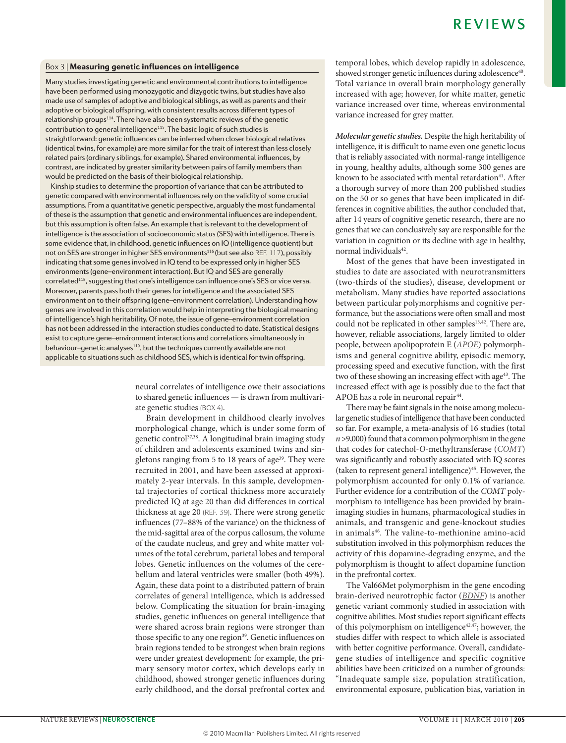# Box 3 | Measuring genetic influences on intelligence

Many studies investigating genetic and environmental contributions to intelligence have been performed using monozygotic and dizygotic twins, but studies have also made use of samples of adoptive and biological siblings, as well as parents and their adoptive or biological offspring, with consistent results across different types of relationship groups<sup>114</sup>. There have also been systematic reviews of the genetic contribution to general intelligence<sup>115</sup>. The basic logic of such studies is straightforward: genetic influences can be inferred when closer biological relatives (identical twins, for example) are more similar for the trait of interest than less closely related pairs (ordinary siblings, for example). Shared environmental influences, by contrast, are indicated by greater similarity between pairs of family members than would be predicted on the basis of their biological relationship.

Kinship studies to determine the proportion of variance that can be attributed to genetic compared with environmental influences rely on the validity of some crucial assumptions. From a quantitative genetic perspective, arguably the most fundamental of these is the assumption that genetic and environmental influences are independent, but this assumption is often false. An example that is relevant to the development of intelligence is the association of socioeconomic status (SES) with intelligence. There is some evidence that, in childhood, genetic influences on IQ (intelligence quotient) but not on SES are stronger in higher SES environments<sup>116</sup> (but see also REF. 117), possibly indicating that some genes involved in IQ tend to be expressed only in higher SES environments (gene–environment interaction). But IQ and SES are generally correlated<sup>118</sup>, suggesting that one's intelligence can influence one's SES or vice versa. Moreover, parents pass both their genes for intelligence and the associated SES environment on to their offspring (gene–environment correlation). Understanding how genes are involved in this correlation would help in interpreting the biological meaning of intelligence's high heritability. Of note, the issue of gene–environment correlation has not been addressed in the interaction studies conducted to date. Statistical designs exist to capture gene–environment interactions and correlations simultaneously in behaviour-genetic analyses<sup>119</sup>, but the techniques currently available are not applicable to situations such as childhood SES, which is identical for twin offspring.

> neural correlates of intelligence owe their associations to shared genetic influences — is drawn from multivariate genetic studies (BOX 4).

Brain development in childhood clearly involves morphological change, which is under some form of genetic control<sup>37,38</sup>. A longitudinal brain imaging study of children and adolescents examined twins and singletons ranging from 5 to 18 years of age<sup>39</sup>. They were recruited in 2001, and have been assessed at approximately 2-year intervals. In this sample, developmental trajectories of cortical thickness more accurately predicted IQ at age 20 than did differences in cortical thickness at age 20 (REF. 39). There were strong genetic influences (77–88% of the variance) on the thickness of the mid-sagittal area of the corpus callosum, the volume of the caudate nucleus, and grey and white matter volumes of the total cerebrum, parietal lobes and temporal lobes. Genetic influences on the volumes of the cerebellum and lateral ventricles were smaller (both 49%). Again, these data point to a distributed pattern of brain correlates of general intelligence, which is addressed below. complicating the situation for brain-imaging studies, genetic influences on general intelligence that were shared across brain regions were stronger than those specific to any one region<sup>39</sup>. Genetic influences on brain regions tended to be strongest when brain regions were under greatest development: for example, the primary sensory motor cortex, which develops early in childhood, showed stronger genetic influences during early childhood, and the dorsal prefrontal cortex and temporal lobes, which develop rapidly in adolescence, showed stronger genetic influences during adolescence<sup>40</sup>. Total variance in overall brain morphology generally increased with age; however, for white matter, genetic variance increased over time, whereas environmental variance increased for grey matter.

*Molecular genetic studies.* Despite the high heritability of intelligence, it is difficult to name even one genetic locus that is reliably associated with normal-range intelligence in young, healthy adults, although some 300 genes are known to be associated with mental retardation<sup>41</sup>. After a thorough survey of more than 200 published studies on the 50 or so genes that have been implicated in differences in cognitive abilities, the author concluded that, after 14 years of cognitive genetic research, there are no genes that we can conclusively say are responsible for the variation in cognition or its decline with age in healthy, normal individuals<sup>42</sup>.

Most of the genes that have been investigated in studies to date are associated with neurotransmitters (two-thirds of the studies), disease, development or metabolism. Many studies have reported associations between particular polymorphisms and cognitive performance, but the associations were often small and most could not be replicated in other samples<sup>13,42</sup>. There are, however, reliable associations, largely limited to older people, between apolipoprotein E ([APOE](http://www.ncbi.nlm.nih.gov/gene/348?ordinalpos=1&itool=EntrezSystem2.PEntrez.Gene.Gene_ResultsPanel.Gene_RVDocSum)) polymorphisms and general cognitive ability, episodic memory, processing speed and executive function, with the first two of these showing an increasing effect with age<sup>43</sup>. The increased effect with age is possibly due to the fact that APOE has a role in neuronal repair<sup>44</sup>.

There may be faint signals in the noise among molecular genetic studies of intelligence that have been conducted so far. For example, a meta-analysis of 16 studies (total *n* >9,000) found that a common polymorphism in the gene that codes for catechol-*O*-methyltransferase (*[COMT](http://www.ncbi.nlm.nih.gov/gene/1312?ordinalpos=1&itool=EntrezSystem2.PEntrez.Gene.Gene_ResultsPanel.Gene_RVDocSum)*) was significantly and robustly associated with IQ scores (taken to represent general intelligence) $45$ . However, the polymorphism accounted for only 0.1% of variance. Further evidence for a contribution of the *COMT* polymorphism to intelligence has been provided by brainimaging studies in humans, pharmacological studies in animals, and transgenic and gene-knockout studies in animals<sup>46</sup>. The valine-to-methionine amino-acid substitution involved in this polymorphism reduces the activity of this dopamine-degrading enzyme, and the polymorphism is thought to affect dopamine function in the prefrontal cortex.

The val66Met polymorphism in the gene encoding brain-derived neurotrophic factor (*[BDNF](http://www.ncbi.nlm.nih.gov/gene/627?ordinalpos=1&itool=EntrezSystem2.PEntrez.Gene.Gene_ResultsPanel.Gene_RVDocSum)*) is another genetic variant commonly studied in association with cognitive abilities. Most studies report significant effects of this polymorphism on intelligence<sup>42,47</sup>; however, the studies differ with respect to which allele is associated with better cognitive performance. Overall, candidategene studies of intelligence and specific cognitive abilities have been criticized on a number of grounds: "Inadequate sample size, population stratification, environmental exposure, publication bias, variation in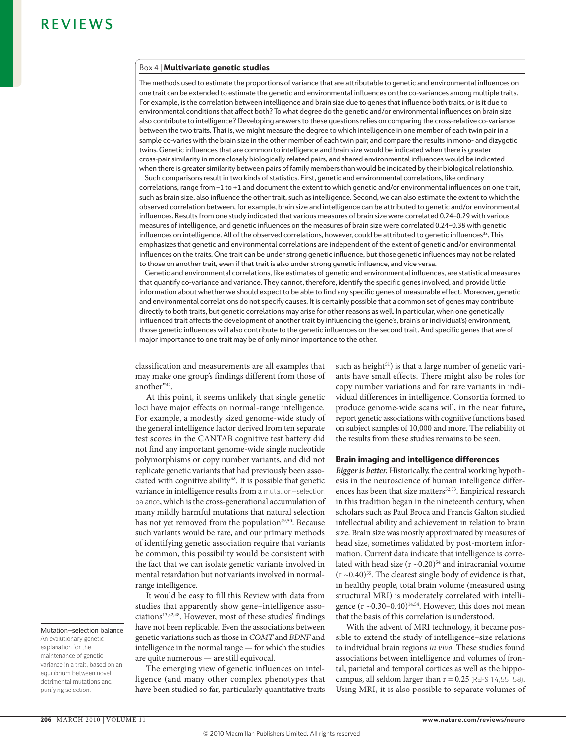#### Box 4 | Multivariate genetic studies

The methods used to estimate the proportions of variance that are attributable to genetic and environmental influences on one trait can be extended to estimate the genetic and environmental influences on the co-variances among multiple traits. For example, is the correlation between intelligence and brain size due to genes that influence both traits, or is it due to environmental conditions that affect both? To what degree do the genetic and/or environmental influences on brain size also contribute to intelligence? Developing answers to these questions relies on comparing the cross-relative co-variance between the two traits. That is, we might measure the degree to which intelligence in one member of each twin pair in a sample co-varies with the brain size in the other member of each twin pair, and compare the results in mono- and dizygotic twins. Genetic influences that are common to intelligence and brain size would be indicated when there is greater cross‑pair similarity in more closely biologically related pairs, and shared environmental influences would be indicated when there is greater similarity between pairs of family members than would be indicated by their biological relationship.

Such comparisons result in two kinds of statistics. First, genetic and environmental correlations, like ordinary correlations, range from –1 to +1 and document the extent to which genetic and/or environmental influences on one trait, such as brain size, also influence the other trait, such as intelligence. Second, we can also estimate the extent to which the observed correlation between, for example, brain size and intelligence can be attributed to genetic and/or environmental influences. Results from one study indicated that various measures of brain size were correlated 0.24–0.29 with various measures of intelligence, and genetic influences on the measures of brain size were correlated 0.24–0.38 with genetic influences on intelligence. All of the observed correlations, however, could be attributed to genetic influences<sup>32</sup>. This emphasizes that genetic and environmental correlations are independent of the extent of genetic and/or environmental influences on the traits. One trait can be under strong genetic influence, but those genetic influences may not be related to those on another trait, even if that trait is also under strong genetic influence, and vice versa.

Genetic and environmental correlations, like estimates of genetic and environmental influences, are statistical measures that quantify co-variance and variance. They cannot, therefore, identify the specific genes involved, and provide little information about whether we should expect to be able to find any specific genes of measurable effect. Moreover, genetic and environmental correlations do not specify causes. It is certainly possible that a common set of genes may contribute directly to both traits, but genetic correlations may arise for other reasons as well. In particular, when one genetically influenced trait affects the development of another trait by influencing the (gene's, brain's or individual's) environment, those genetic influences will also contribute to the genetic influences on the second trait. And specific genes that are of major importance to one trait may be of only minor importance to the other.

classification and measurements are all examples that may make one group's findings different from those of another"42.

At this point, it seems unlikely that single genetic loci have major effects on normal-range intelligence. For example, a modestly sized genome-wide study of the general intelligence factor derived from ten separate test scores in the cAnTAB cognitive test battery did not find any important genome-wide single nucleotide polymorphisms or copy number variants, and did not replicate genetic variants that had previously been associated with cognitive ability<sup>48</sup>. It is possible that genetic variance in intelligence results from a mutation–selection balance, which is the cross-generational accumulation of many mildly harmful mutations that natural selection has not yet removed from the population<sup>49,50</sup>. Because such variants would be rare, and our primary methods of identifying genetic association require that variants be common, this possibility would be consistent with the fact that we can isolate genetic variants involved in mental retardation but not variants involved in normalrange intelligence.

It would be easy to fill this Review with data from studies that apparently show gene–intelligence associations<sup>13,42,48</sup>. However, most of these studies' findings have not been replicable. Even the associations between genetic variations such as those in *COMT* and *BDNF* and intelligence in the normal range — for which the studies are quite numerous — are still equivocal.

The emerging view of genetic influences on intelligence (and many other complex phenotypes that have been studied so far, particularly quantitative traits such as height<sup>51</sup>) is that a large number of genetic variants have small effects. There might also be roles for copy number variations and for rare variants in individual differences in intelligence. Consortia formed to produce genome-wide scans will, in the near future**,**  report genetic associations with cognitive functions based on subject samples of 10,000 and more. The reliability of the results from these studies remains to be seen.

#### Brain imaging and intelligence differences

*Bigger is better.* Historically, the central working hypothesis in the neuroscience of human intelligence differences has been that size matters<sup>52,53</sup>. Empirical research in this tradition began in the nineteenth century, when scholars such as Paul Broca and Francis Galton studied intellectual ability and achievement in relation to brain size. Brain size was mostly approximated by measures of head size, sometimes validated by post-mortem information. current data indicate that intelligence is correlated with head size  $(r \sim 0.20)^{54}$  and intracranial volume  $(r \sim 0.40)^{55}$ . The clearest single body of evidence is that, in healthy people, total brain volume (measured using structural MRI) is moderately correlated with intelligence  $(r \sim 0.30 - 0.40)^{14,54}$ . However, this does not mean that the basis of this correlation is understood.

With the advent of MRI technology, it became possible to extend the study of intelligence–size relations to individual brain regions *in vivo*. These studies found associations between intelligence and volumes of frontal, parietal and temporal cortices as well as the hippocampus, all seldom larger than  $r = 0.25$  (REFS 14,55-58). Using MRI, it is also possible to separate volumes of

Mutation–selection balance An evolutionary genetic explanation for the maintenance of genetic variance in a trait, based on an equilibrium between novel detrimental mutations and purifying selection.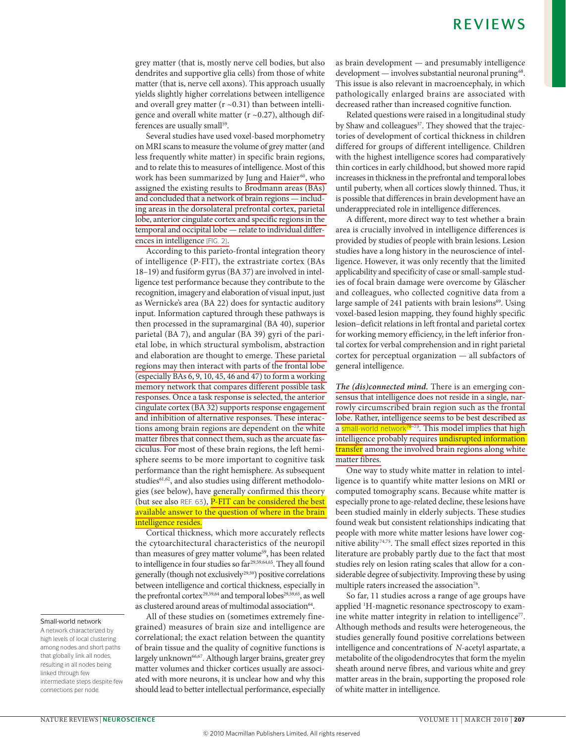grey matter (that is, mostly nerve cell bodies, but also dendrites and supportive glia cells) from those of white matter (that is, nerve cell axons). This approach usually yields slightly higher correlations between intelligence and overall grey matter ( $r \sim 0.31$ ) than between intelligence and overall white matter  $(r \sim 0.27)$ , although differences are usually small<sup>59</sup>.

Several studies have used voxel-based morphometry on MRI scans to measure the volume of grey matter (and less frequently white matter) in specific brain regions, and to relate this to measures of intelligence. Most of this work has been summarized by Jung and Haier<sup>60</sup>, who assigned the existing results to Brodmann areas (BAs) and concluded that a network of brain regions — including areas in the dorsolateral prefrontal cortex, parietal lobe, anterior cingulate cortex and specific regions in the temporal and occipital lobe — relate to individual differences in intelligence (FIG. 2).

According to this parieto-frontal integration theory of intelligence (P-FIT), the extrastriate cortex (BAs 18–19) and fusiform gyrus (BA 37) are involved in intelligence test performance because they contribute to the recognition, imagery and elaboration of visual input, just as Wernicke's area (BA 22) does for syntactic auditory input. Information captured through these pathways is then processed in the supramarginal (BA 40), superior parietal (BA 7), and angular (BA 39) gyri of the parietal lobe, in which structural symbolism, abstraction and elaboration are thought to emerge. These parietal regions may then interact with parts of the frontal lobe (especially BAs 6, 9, 10, 45, 46 and 47) to form a working memory network that compares different possible task responses. Once a task response is selected, the anterior cingulate cortex (BA 32) supports response engagement and inhibition of alternative responses. These interactions among brain regions are dependent on the white matter fibres that connect them, such as the arcuate fasciculus. For most of these brain regions, the left hemisphere seems to be more important to cognitive task performance than the right hemisphere. As subsequent studies<sup>61,62</sup>, and also studies using different methodologies (see below), have generally confirmed this theory (but see also REF. 63), P-FIT can be considered the best available answer to the question of where in the brain intelligence resides.

cortical thickness, which more accurately reflects the cytoarchitectural characteristics of the neuropil than measures of grey matter volume<sup>59</sup>, has been related to intelligence in four studies so far<sup>29,59,64,65</sup>. They all found generally (though not exclusively<sup>29,59</sup>) positive correlations between intelligence and cortical thickness, especially in the prefrontal cortex<sup>29,59,64</sup> and temporal lobes<sup>29,59,65</sup>, as well as clustered around areas of multimodal association<sup>64</sup>.

All of these studies on (sometimes extremely finegrained) measures of brain size and intelligence are correlational; the exact relation between the quantity of brain tissue and the quality of cognitive functions is largely unknown<sup>66,67</sup>. Although larger brains, greater grey matter volumes and thicker cortices usually are associated with more neurons, it is unclear how and why this should lead to better intellectual performance, especially as brain development — and presumably intelligence development — involves substantial neuronal pruning<sup>68</sup>. This issue is also relevant in macroencephaly, in which pathologically enlarged brains are associated with decreased rather than increased cognitive function.

Related questions were raised in a longitudinal study by Shaw and colleagues<sup>37</sup>. They showed that the trajectories of development of cortical thickness in children differed for groups of different intelligence. children with the highest intelligence scores had comparatively thin cortices in early childhood, but showed more rapid increases in thickness in the prefrontal and temporal lobes until puberty, when all cortices slowly thinned. Thus, it is possible that differences in brain development have an underappreciated role in intelligence differences.

A different, more direct way to test whether a brain area is crucially involved in intelligence differences is provided by studies of people with brain lesions. lesion studies have a long history in the neuroscience of intelligence. However, it was only recently that the limited applicability and specificity of case or small-sample studies of focal brain damage were overcome by Gläscher and colleagues, who collected cognitive data from a large sample of 241 patients with brain lesions<sup>69</sup>. Using voxel-based lesion mapping, they found highly specific lesion–deficit relations in left frontal and parietal cortex for working memory efficiency, in the left inferior frontal cortex for verbal comprehension and in right parietal cortex for perceptual organization — all subfactors of general intelligence.

*The (dis)connected mind.* There is an emerging consensus that intelligence does not reside in a single, narrowly circumscribed brain region such as the frontal lobe. Rather, intelligence seems to be best described as a small-world network<sup>70-73</sup>. This model implies that high intelligence probably requires undisrupted information transfer among the involved brain regions along white matter fibres.

One way to study white matter in relation to intelligence is to quantify white matter lesions on MRI or computed tomography scans. Because white matter is especially prone to age-related decline, these lesions have been studied mainly in elderly subjects. These studies found weak but consistent relationships indicating that people with more white matter lesions have lower cognitive ability74,75. The small effect sizes reported in this literature are probably partly due to the fact that most studies rely on lesion rating scales that allow for a considerable degree of subjectivity. Improving these by using multiple raters increased the association<sup>76</sup>.

So far, 11 studies across a range of age groups have applied 1 H-magnetic resonance spectroscopy to examine white matter integrity in relation to intelligence $77$ . Although methods and results were heterogeneous, the studies generally found positive correlations between intelligence and concentrations of *N*-acetyl aspartate, a metabolite of the oligodendrocytes that form the myelin sheath around nerve fibres, and various white and grey matter areas in the brain, supporting the proposed role of white matter in intelligence.

# Small-world network

A network characterized by high levels of local clustering among nodes and short paths that globally link all nodes, resulting in all nodes being linked through few intermediate steps despite few connections per node.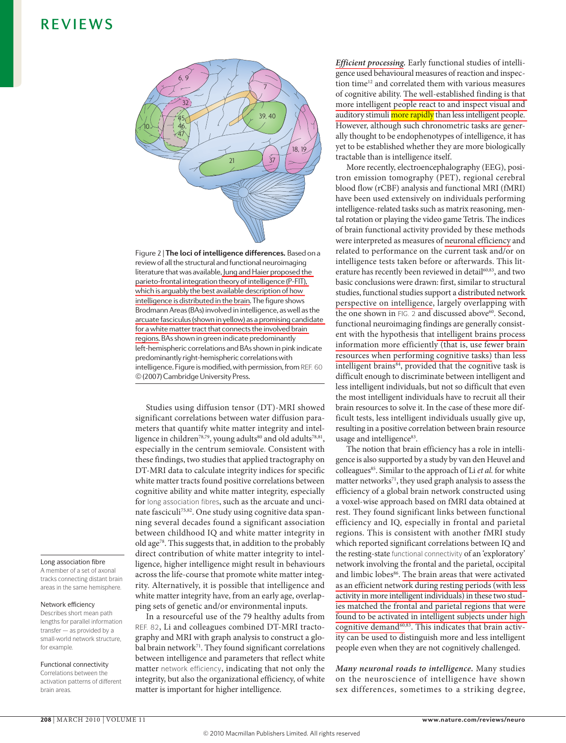

literature that was available<u>, lung and Haier proposed the</u> Figure 2 | **The loci of intelligence differences.** Based on a review of all the structural and functional neuroimaging parieto-frontal integration theory of intelligence (P-FIT), which is arguably the best available description of how intelligence is distributed in the brain. The figure shows Brodmann Areas (BAs) involved in intelligence, as well as the arcuate fasciculus (shown in yellow) as a promising candidate for a white matter tract that connects the involved brain regions. BAs shown in green indicate predominantly left-hemispheric correlations and BAs shown in pink indicate predominantly right-hemispheric correlations with intelligence. Figure is modified, with permission, from REF. 60 © (2007) Cambridge University Press.

Studies using diffusion tensor (DT)-MRI showed significant correlations between water diffusion parameters that quantify white matter integrity and intelligence in children<sup>78,79</sup>, young adults<sup>80</sup> and old adults<sup>78,81</sup>, especially in the centrum semiovale. Consistent with these findings, two studies that applied tractography on DT-MRI data to calculate integrity indices for specific white matter tracts found positive correlations between cognitive ability and white matter integrity, especially for long association fibres, such as the arcuate and uncinate fasciculi<sup>75,82</sup>. One study using cognitive data spanning several decades found a significant association between childhood IQ and white matter integrity in old age78. This suggests that, in addition to the probably direct contribution of white matter integrity to intelligence, higher intelligence might result in behaviours across the life-course that promote white matter integrity. Alternatively, it is possible that intelligence and white matter integrity have, from an early age, overlapping sets of genetic and/or environmental inputs.

In a resourceful use of the 79 healthy adults from REF. 82, li and colleagues combined DT-MRI tractography and MRI with graph analysis to construct a global brain network $71$ . They found significant correlations between intelligence and parameters that reflect white matter network efficiency, indicating that not only the integrity, but also the organizational efficiency, of white matter is important for higher intelligence.

*Efficient processing.* Early functional studies of intelligence used behavioural measures of reaction and inspection time<sup>12</sup> and correlated them with various measures of cognitive ability. The well-established finding is that more intelligent people react to and inspect visual and auditory stimuli more rapidly than less intelligent people. However, although such chronometric tasks are generally thought to be endophenotypes of intelligence, it has yet to be established whether they are more biologically tractable than is intelligence itself.

More recently, electroencephalography (EEG), positron emission tomography (PeT), regional cerebral blood flow (rcBF) analysis and functional MRI (fMRI) have been used extensively on individuals performing intelligence-related tasks such as matrix reasoning, mental rotation or playing the video game Tetris. The indices of brain functional activity provided by these methods were interpreted as measures of neuronal efficiency and related to performance on the current task and/or on intelligence tests taken before or afterwards. This literature has recently been reviewed in detail<sup>60,83</sup>, and two basic conclusions were drawn: first, similar to structural studies, functional studies support a distributed network perspective on intelligence, largely overlapping with the one shown in FIG. 2 and discussed above<sup>60</sup>. Second, functional neuroimaging findings are generally consistent with the hypothesis that intelligent brains process information more efficiently (that is, use fewer brain resources when performing cognitive tasks) than less intelligent brains<sup>84</sup>, provided that the cognitive task is difficult enough to discriminate between intelligent and less intelligent individuals, but not so difficult that even the most intelligent individuals have to recruit all their brain resources to solve it. In the case of these more difficult tests, less intelligent individuals usually give up, resulting in a positive correlation between brain resource usage and intelligence<sup>83</sup>.

The notion that brain efficiency has a role in intelligence is also supported by a study by van den Heuvel and colleagues<sup>85</sup>. Similar to the approach of Li *et al.* for white matter networks<sup>71</sup>, they used graph analysis to assess the efficiency of a global brain network constructed using a voxel-wise approach based on fMRI data obtained at rest. They found significant links between functional efficiency and IQ, especially in frontal and parietal regions. This is consistent with another fMRI study which reported significant correlations between IQ and the resting-state functional connectivity of an 'exploratory' network involving the frontal and the parietal, occipital and limbic lobes<sup>86</sup>. The brain areas that were activated as an efficient network during resting periods (with less activity in more intelligent individuals) in these two studies matched the frontal and parietal regions that were found to be activated in intelligent subjects under high cognitive demand<sup>60,83</sup>. This indicates that brain activity can be used to distinguish more and less intelligent people even when they are not cognitively challenged.

*Many neuronal roads to intelligence.* Many studies on the neuroscience of intelligence have shown sex differences, sometimes to a striking degree,

## Long association fibre

A member of a set of axonal tracks connecting distant brain areas in the same hemisphere.

#### Network efficiency

Describes short mean path lengths for parallel information transfer — as provided by a small-world network structure, for example.

Functional connectivity Correlations between the activation patterns of different brain areas.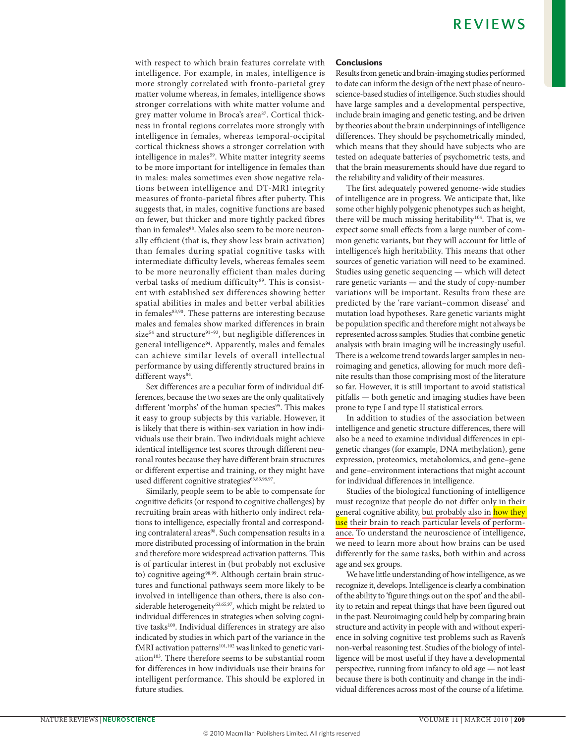with respect to which brain features correlate with intelligence. For example, in males, intelligence is more strongly correlated with fronto-parietal grey matter volume whereas, in females, intelligence shows stronger correlations with white matter volume and grey matter volume in Broca's area<sup>87</sup>. Cortical thickness in frontal regions correlates more strongly with intelligence in females, whereas temporal-occipital cortical thickness shows a stronger correlation with intelligence in males<sup>59</sup>. White matter integrity seems to be more important for intelligence in females than in males: males sometimes even show negative relations between intelligence and DT-MRI integrity measures of fronto-parietal fibres after puberty. This suggests that, in males, cognitive functions are based on fewer, but thicker and more tightly packed fibres than in females<sup>88</sup>. Males also seem to be more neuronally efficient (that is, they show less brain activation) than females during spatial cognitive tasks with intermediate difficulty levels, whereas females seem to be more neuronally efficient than males during verbal tasks of medium difficulty<sup>89</sup>. This is consistent with established sex differences showing better spatial abilities in males and better verbal abilities in females<sup>83,90</sup>. These patterns are interesting because males and females show marked differences in brain size<sup>54</sup> and structure<sup>91-93</sup>, but negligible differences in general intelligence<sup>94</sup>. Apparently, males and females can achieve similar levels of overall intellectual performance by using differently structured brains in different ways<sup>84</sup>.

Sex differences are a peculiar form of individual differences, because the two sexes are the only qualitatively different 'morphs' of the human species<sup>95</sup>. This makes it easy to group subjects by this variable. However, it is likely that there is within-sex variation in how individuals use their brain. Two individuals might achieve identical intelligence test scores through different neuronal routes because they have different brain structures or different expertise and training, or they might have used different cognitive strategies<sup>63,83,96,97</sup>.

Similarly, people seem to be able to compensate for cognitive deficits (or respond to cognitive challenges) by recruiting brain areas with hitherto only indirect relations to intelligence, especially frontal and corresponding contralateral areas<sup>98</sup>. Such compensation results in a more distributed processing of information in the brain and therefore more widespread activation patterns. This is of particular interest in (but probably not exclusive to) cognitive ageing<sup>98,99</sup>. Although certain brain structures and functional pathways seem more likely to be involved in intelligence than others, there is also considerable heterogeneity<sup>63,65,97</sup>, which might be related to individual differences in strategies when solving cognitive tasks<sup>100</sup>. Individual differences in strategy are also indicated by studies in which part of the variance in the fMRI activation patterns<sup>101,102</sup> was linked to genetic variation<sup>103</sup>. There therefore seems to be substantial room for differences in how individuals use their brains for intelligent performance. This should be explored in future studies.

# **Conclusions**

Results from genetic and brain-imaging studies performed to date can inform the design of the next phase of neuroscience-based studies of intelligence. Such studies should have large samples and a developmental perspective, include brain imaging and genetic testing, and be driven by theories about the brain underpinnings of intelligence differences. They should be psychometrically minded, which means that they should have subjects who are tested on adequate batteries of psychometric tests, and that the brain measurements should have due regard to the reliability and validity of their measures.

The first adequately powered genome-wide studies of intelligence are in progress. We anticipate that, like some other highly polygenic phenotypes such as height, there will be much missing heritability<sup>104</sup>. That is, we expect some small effects from a large number of common genetic variants, but they will account for little of intelligence's high heritability. This means that other sources of genetic variation will need to be examined. Studies using genetic sequencing — which will detect rare genetic variants — and the study of copy-number variations will be important. Results from these are predicted by the 'rare variant–common disease' and mutation load hypotheses. Rare genetic variants might be population specific and therefore might not always be represented across samples. Studies that combine genetic analysis with brain imaging will be increasingly useful. There is a welcome trend towards larger samples in neuroimaging and genetics, allowing for much more definite results than those comprising most of the literature so far. However, it is still important to avoid statistical pitfalls — both genetic and imaging studies have been prone to type I and type II statistical errors.

In addition to studies of the association between intelligence and genetic structure differences, there will also be a need to examine individual differences in epigenetic changes (for example, DnA methylation), gene expression, proteomics, metabolomics, and gene–gene and gene–environment interactions that might account for individual differences in intelligence.

Studies of the biological functioning of intelligence must recognize that people do not differ only in their general cognitive ability, but probably also in **how they** use their brain to reach particular levels of performance. To understand the neuroscience of intelligence, we need to learn more about how brains can be used differently for the same tasks, both within and across age and sex groups.

We have little understanding of how intelligence, as we recognize it, develops. Intelligence is clearly a combination of the ability to 'figure things out on the spot' and the ability to retain and repeat things that have been figured out in the past. Neuroimaging could help by comparing brain structure and activity in people with and without experience in solving cognitive test problems such as Raven's non-verbal reasoning test. Studies of the biology of intelligence will be most useful if they have a developmental perspective, running from infancy to old age — not least because there is both continuity and change in the individual differences across most of the course of a lifetime.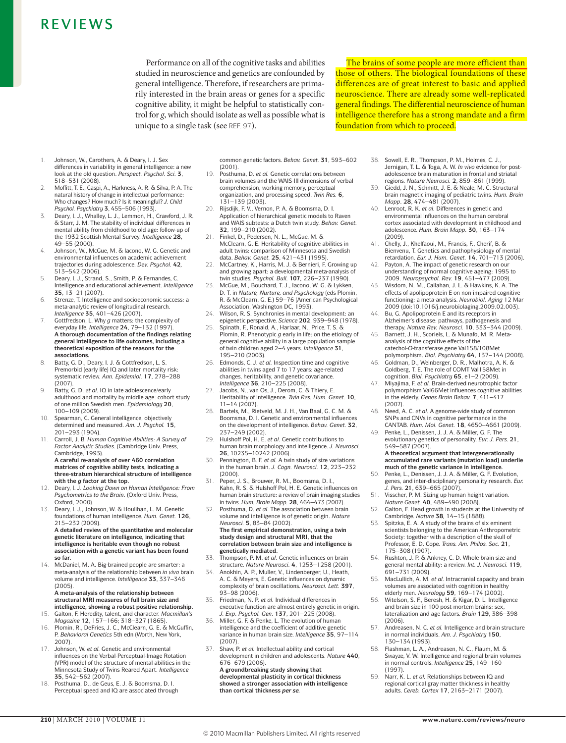Performance on all of the cognitive tasks and abilities studied in neuroscience and genetics are confounded by general intelligence. Therefore, if researchers are primarily interested in the brain areas or genes for a specific cognitive ability, it might be helpful to statistically control for *g*, which should isolate as well as possible what is unique to a single task (see REF. 97).

The brains of some people are more efficient than those of others. The biological foundations of these differences are of great interest to basic and applied neuroscience. There are already some well-replicated general findings. The differential neuroscience of human intelligence therefore has a strong mandate and a firm foundation from which to proceed.

- 1. Johnson, W., Carothers, A. & Deary, I. J. Sex differences in variability in general intelligence: a new look at the old question. *Perspect. Psychol. Sci.* **3**, 518–531 (2008).
- 2. Moffitt, T. E., Caspi, A., Harkness, A. R. & Silva, P. A. The natural history of change in intellectual performance: Who changes? How much? Is it meaningful? *J. Child Psychol. Psychiatry* **3**, 455–506 (1993).
- Deary, I. J., Whalley, L. J., Lemmon, H., Crawford, J. R. & Starr, J. M. The stability of individual differences in mental ability from childhood to old age: follow-up of the 1932 Scottish Mental Survey. *Intelligence* **28**, 49–55 (2000).
- 4. Johnson, W., McGue, M. & Iacono, W. G. Genetic and environmental influences on academic achievement trajectories during adolescence. *Dev. Psychol.* **42***,*  513–542 (2006).
- 5. Deary, I. J., Strand, S., Smith, P. & Fernandes, C. Intelligence and educational achievement. *Intelligence* **35**, 13–21 (2007).
- Strenze, T. Intelligence and socioeconomic success: a meta-analytic review of longitudinal research. *Intelligence* **35**, 401–426 (2007).
- 7. Gottfredson, L. Why *g* matters: the complexity of everyday life. *Intelligence* **24**, 79–132 (1997). **A thorough documentation of the findings relating general intelligence to life outcomes, including a theoretical exposition of the reasons for the**
- **associations.** 8. Batty, G. D., Deary, I. J. & Gottfredson, L. S. Premorbid (early life) IQ and later mortality risk: systematic review. *Ann. Epidemiol.* **17**, 278–288 (2007).
- 9. Batty, G. D. *et al.* IQ in late adolescence/early adulthood and mortality by middle age: cohort study of one million Swedish men. *Epidemiology* **20**, 100–109 (2009).
- 10. Spearman, C. General intelligence, objectively determined and measured. *Am. J. Psychol.* **15**, 201–293 (1904).
- 11. Carroll, J. B. *Human Cognitive Abilities: A Survey of Factor Analytic Studies.* (Cambridge Univ. Press, Cambridge, 1993).

#### **A careful re-analysis of over 460 correlation matrices of cognitive ability tests, indicating a three-stratum hierarchical structure of intelligence with the** *g* **factor at the top.**

- 12. Deary, I. J. *Looking Down on Human Intelligence: From Psychometrics to the Brain*. (Oxford Univ. Press, Oxford, 2000).
- 13. Deary, I. J., Johnson, W. & Houlihan, L. M. Genetic foundations of human intelligence. *Hum. Genet.* **126**, 215–232 (2009).

#### **A detailed review of the quantitative and molecular genetic literature on intelligence, indicating that intelligence is heritable even though no robust association with a genetic variant has been found so far.**

- 14. McDaniel, M. A. Big-brained people are smarter: a meta-analysis of the relationship between *in vivo* brain volume and intelligence. *Intelligence* **33**, 337–346 (2005). **A meta-analysis of the relationship between structural MRI measures of full brain size and**
- **intelligence, showing a robust positive relationship.** 15. Galton, F. Heredity, talent, and character. *Macmillan's*
- *Magazine* **12**, 157–166; 318–327 (1865). 16. Plomin, R., DeFries, J. C., McClearn, G. E. & McGuffin,
- P. *Behavioral Genetics* 5th edn (Worth, New York, 2007). 17. Johnson, W. *et al.* Genetic and environmental
- influences on the Verbal-Perceptual-Image Rotation (VPR) model of the structure of mental abilities in the Minnesota Study of Twins Reared Apart. *Intelligence*  **35**, 542–562 (2007).
- 18. Posthuma, D., de Geus, E. J. & Boomsma, D. I. Perceptual speed and IQ are associated through

common genetic factors. *Behav. Genet.* **31**, 593–602 (2001).

- 19. Posthuma, D. *et al.* Genetic correlations between brain volumes and the WAIS-III dimensions of verbal comprehension, working memory, perceptual organization, and processing speed. *Twin Res.* **6**, 131–139 (2003).
- 20. Rijsdijk, F. V., Vernon, P. A. & Boomsma, D. I. Application of hierarchical genetic models to Raven and WAIS subtests: a Dutch twin study. *Behav. Genet.*  **32**, 199–210 (2002).
- 21. Finkel, D., Pedersen, N. L., McGue, M. & McClearn, G. E. Heritability of cognitive abilities in adult twins: comparison of Minnesota and Swedish data. *Behav. Genet.* **25**, 421–431 (1995).
- 22. McCartney, K., Harris, M. J. & Bernieri, F. Growing up and growing apart: a developmental meta-analysis of
- twin studies. *Psychol. Bull.* **107***,* 226–237 (1990). 23. McGue, M., Bouchard, T. J., Iacono, W. G. & Lykken, D. T. in *Nature, Nurture, and Psychology* (eds Plomin, R. & McClearn, G. E.) 59–76 (American Psychological Association, Washington DC, 1993).
- 24. Wilson, R. S. Synchronies in mental development: an epigenetic perspective. *Science* **202**, 939–948 (1978). 25. Spinath, F., Ronald, A., Harlaar, N., Price, T. S. &
- Plomin, R. Phenotypic *g* early in life: on the etiology of general cognitive ability in a large population sample of twin children aged 2–4 years. *Intelligence* **31**, 195–210 (2003).
- 26. Edmonds, C. J. *et al.* Inspection time and cognitive abilities in twins aged 7 to 17 years: age-related changes, heritability, and genetic covariance. *Intelligence* **36**, 210–225 (2008).
- Jacobs, N., van Os, J., Derom, C. & Thiery, E. Heritability of intelligence. *Twin Res. Hum. Genet.* **10**,  $11 - 14$  (2007).
- Bartels, M., Rietveld, M. J. H., Van Baal, G. C. M. & Boomsma, D. I. Genetic and environmental influences on the development of intelligence. *Behav. Genet.* **32**, 237–249 (2002).
- 29. Hulshoff Pol, H. E. *et al.* Genetic contributions to human brain morphology and intelligence. *J. Neurosci.*  **26**, 10235–10242 (2006).
- 30. Pennington, B. F. *et al.* A twin study of size variations in the human brain. *J. Cogn. Neurosci.* **12**, 223–232 (2000).
- 31. Peper, J. S., Brouwer, R. M., Boomsma, D. I., Kahn, R. S. & Hulshoff Pol, H. E. Genetic influences on human brain structure: a review of brain imaging studies in twins. *Hum. Brain Mapp.* **28**, 464–473 (2007).
- 32. Posthuma, D. *et al*. The association between brain volume and intelligence is of genetic origin. *Nature Neurosci.* **5**, 83–84 (2002). **The first empirical demonstration, using a twin study design and structural MRI, that the correlation between brain size and intelligence is genetically mediated.**
- 33. Thompson, P. M. *et al.* Genetic influences on brain structure. *Nature Neurosci.* **4**, 1253–1258 (2001).
- Anokhin, A. P., Muller, V., Lindenberger, U., Heath, A. C. & Meyers, E. Genetic influences on dynamic complexity of brain oscillations. *Neurosci. Lett.* **397**, 93–98 (2006).
- 35. Friedman, N. P. *et al.* Individual differences in executive function are almost entirely genetic in origin. *J. Exp. Psychol. Gen.* **137**, 201–225 (2008).
- 36. Miller, G. F. & Penke, L. The evolution of human intelligence and the coefficient of additive genetic variance in human brain size. *Intelligence* **35**, 97–114 (2007).
- Shaw, P. et al. Intellectual ability and cortical development in children and adolescents. *Nature* **440**, 676–679 (2006). **A groundbreaking study showing that**

**developmental plasticity in cortical thickness showed a stronger association with intelligence than cortical thickness** *per se.*

- 38. Sowell, E. R., Thompson, P. M., Holmes, C. J., Jernigan, T. L. & Toga, A. W. *In vivo* evidence for postadolescence brain maturation in frontal and striatal regions. *Nature Neurosci.* **2**, 859–861 (1999).
- 39. Giedd, J. N., Schmitt, J. E. & Neale, M. C. Structural brain magnetic imaging of pediatric twins. *Hum. Brain Mapp.* **28**, 474–481 (2007).
- 40. Lenroot, R. K. *et al.* Differences in genetic and environmental influences on the human cerebral cortex associated with development in childhood and adolescence. *Hum. Brain Mapp.* **30**, 163–174 (2009).
- 41. Chelly, J., Khelfaoui, M., Francis, F., Cherif, B. & Bienvenu, T. Genetics and pathophysiology of mental retardation. *Eur. J. Hum. Genet.* **14**, 701–713 (2006).
- 42. Payton, A. The impact of genetic research on our understanding of normal cognitive ageing: 1995 to
- 2009. *Neuropsychol. Rev.* **19**, 451–477 (2009). 43. Wisdom, N. M., Callahan, J. L. & Hawkins, K. A. The effects of apolipoprotein E on non-impaired cognitive functioning: a meta-analysis. *Neurobiol. Aging* 12 Mar 2009 (doi:10.1016/j.neurobiolaging.2009.02.003).
- 44. Bu, G. Apolipoprotein E and its receptors in Alzheimer's disease: pathways, pathogenesis and therapy. *Nature Rev. Neurosci.* **10**, 333–344 (2009).
- Barnett, J. H., Scoriels, L. & Munafo, M. R. Metaanalysis of the cognitive effects of the catechol-*O*-transferase gene Val158/108Met polymorphism. *Biol. Psychiatry* **64**, 137–144 (2008).
- 46. Goldman, D., Weinberger, D. R., Malhotra, A. K. & Goldberg, T. E. The role of COMT Val158Met in cognition. *Biol. Psychiatry* **65**, e1–2 (2009).
- 47. Miyajima, F. *et al.* Brain-derived neurotrophic factor polymorphism Val66Met influences cognitive abilities in the elderly. *Genes Brain Behav.* **7**, 411–417 (2007).
- 48. Need, A. C. *et al.* A genome-wide study of common SNPs and CNVs in cognitive performance in the CANTAB. *Hum. Mol. Genet.* **18**, 4650–4661 (2009).
- 49. Penke, L., Denissen, J. J. A. & Miller, G. F. The evolutionary genetics of personality. *Eur. J. Pers.* **21**, 549–587 (2007).

**A theoretical argument that intergenerationally accumulated rare variants (mutation load) underlie much of the genetic variance in intelligence.**

- 50. Penke, L., Denissen, J. J. A. & Miller, G*.* F. Evolution, genes, and inter-disciplinary personality research. *Eur. J. Pers.* **21**, 639–665 (2007).
- 51. Visscher, P. M. Sizing up human height variation. *Nature Genet.* **40**, 489–490 (2008).
- 52. Galton, F. Head growth in students at the University of Cambridge. *Nature* **38***,* 14–15 (1888).
- 53. Spitzka, E. A. A study of the brains of six eminent scientists belonging to the American Anthropometric Society: together with a description of the skull of Professor, E. D. Cope. *Trans. Am. Philos. Soc.* **21**, 175–308 (1907).
- 54. Rushton, J. P. & Ankney, C. D. Whole brain size and general mental ability: a review. *Int. J. Neurosci.* **119**, 691–731 (2009).
- 55. MacLullich, A. M. *et al.* Intracranial capacity and brain volumes are associated with cognition in healthy elderly men. *Neurology* **59**, 169–174 (2002).
- 56. Witelson, S. F., Beresh, H. & Kigar, D. L. Intelligence and brain size in 100 post-mortem brains: sex, lateralization and age factors. *Brain* **129**, 386–398 (2006).
- 57. Andreasen, N. C. *et al.* Intelligence and brain structure in normal individuals. *Am. J. Psychiatry* **150**, 130–134 (1993).
- 58. Flashman, L. A., Andreasen, N. C., Flaum, M. & Swayze, V. W. Intelligence and regional brain volumes in normal controls. *Intelligence* **25**, 149–160 (1997).
- 59. Narr, K. L. *et al.* Relationships between IQ and regional cortical gray matter thickness in healthy adults. *Cereb. Cortex* **17**, 2163–2171 (2007).